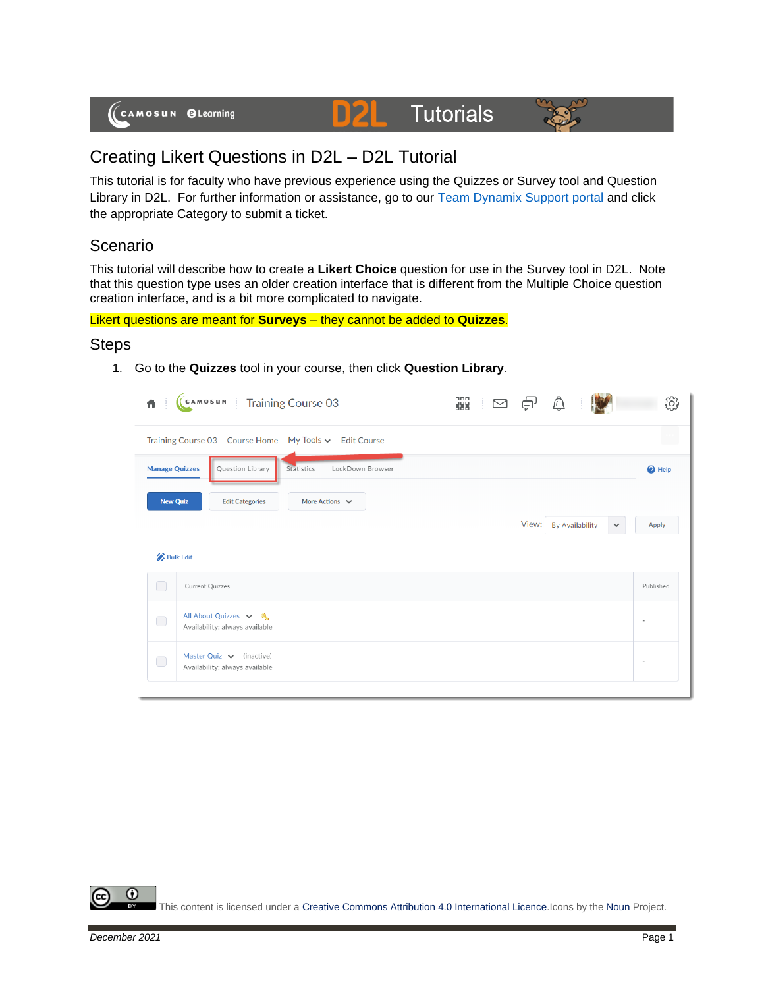

# **Tutorials**



## Creating Likert Questions in D2L – D2L Tutorial

This tutorial is for faculty who have previous experience using the Quizzes or Survey tool and Question Library in D2L. For further information or assistance, go to our [Team Dynamix Support portal](https://camosun.teamdynamix.com/TDClient/67/Portal/Requests/ServiceCatalog?CategoryID=523) and click the appropriate Category to submit a ticket.

DZ

#### Scenario

This tutorial will describe how to create a **Likert Choice** question for use in the Survey tool in D2L. Note that this question type uses an older creation interface that is different from the Multiple Choice question creation interface, and is a bit more complicated to navigate.

Likert questions are meant for **Surveys** – they cannot be added to **Quizzes**.

#### **Steps**

1. Go to the **Quizzes** tool in your course, then click **Question Library**.

| Ä                                                     | (CAMOSUN Training Course 03                                     | 器<br>÷<br>$\triangleright$ |       |                        |              | ි              |  |
|-------------------------------------------------------|-----------------------------------------------------------------|----------------------------|-------|------------------------|--------------|----------------|--|
| Training Course 03 Course Home My Tools v Edit Course |                                                                 |                            |       |                        |              |                |  |
| <b>Manage Quizzes</b>                                 | Question Library<br>Statistics<br>LockDown Browser              |                            |       |                        |              | $\bullet$ Help |  |
| <b>New Quiz</b>                                       | <b>Edit Categories</b><br>More Actions $\vee$                   |                            |       |                        |              |                |  |
|                                                       |                                                                 |                            | View: | <b>By Availability</b> | $\checkmark$ | <b>Apply</b>   |  |
|                                                       | <b>Bulk Edit</b>                                                |                            |       |                        |              |                |  |
| $\bigcirc$                                            | Current Quizzes                                                 |                            |       |                        |              | Published      |  |
| $\bigcirc$                                            | All About Quizzes v &<br>Availability: always available         |                            |       |                        |              |                |  |
| $\bigcirc$                                            | Master Quiz $\vee$ (inactive)<br>Availability: always available |                            |       |                        |              |                |  |
|                                                       |                                                                 |                            |       |                        |              |                |  |

⋒ This content is licensed under [a Creative Commons Attribution 4.0 International Licence.I](https://creativecommons.org/licenses/by/4.0/)cons by the [Noun](https://creativecommons.org/website-icons/) Project.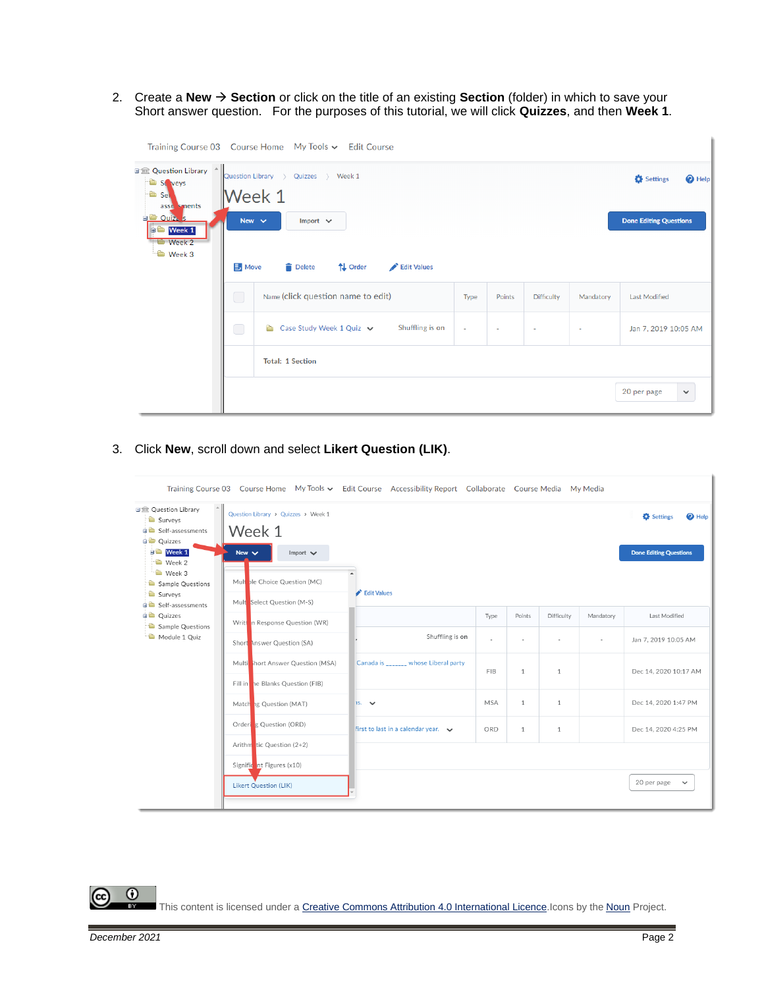2. Create a **New** → **Section** or click on the title of an existing **Section** (folder) in which to save your Short answer question. For the purposes of this tutorial, we will click **Quizzes**, and then **Week 1**.

|                                                                                                                                               |                                                              | Training Course 03 Course Home My Tools v Edit Course          |        |        |                   |           |                             |
|-----------------------------------------------------------------------------------------------------------------------------------------------|--------------------------------------------------------------|----------------------------------------------------------------|--------|--------|-------------------|-----------|-----------------------------|
| 日金 Question Library ^<br>St veys<br><sup>th</sup> Sel<br>asse sments<br><b>EL Ouiz</b> s<br><b>D</b> Week 1<br><b>Week 2</b><br><b>Week 3</b> | Question Library ><br>Week 1<br>New $\sim$<br>$\exists$ Move | Settings<br><sup>O</sup> Help<br><b>Done Editing Questions</b> |        |        |                   |           |                             |
|                                                                                                                                               | $\Box$                                                       | Name (click question name to edit)                             | Type   | Points | <b>Difficulty</b> | Mandatory | <b>Last Modified</b>        |
|                                                                                                                                               | $\bigcap$                                                    | Shuffling is on<br>Case Study Week 1 Quiz v<br>a a             | $\sim$ | ٠      | $\sim$            | $\sim$    | Jan 7, 2019 10:05 AM        |
|                                                                                                                                               |                                                              | <b>Total: 1 Section</b>                                        |        |        |                   |           |                             |
|                                                                                                                                               |                                                              |                                                                |        |        |                   |           | 20 per page<br>$\checkmark$ |

3. Click **New**, scroll down and select **Likert Question (LIK)**.

|                                                                                                                      |                                                                              | Training Course 03 Course Home My Tools v Edit Course Accessibility Report Collaborate Course Media My Media |            |              |              |                          |                                                                      |  |  |
|----------------------------------------------------------------------------------------------------------------------|------------------------------------------------------------------------------|--------------------------------------------------------------------------------------------------------------|------------|--------------|--------------|--------------------------|----------------------------------------------------------------------|--|--|
| 日盒 Question Library<br>Surveys<br><b>B</b> Self-assessments<br><b>Quizzes</b><br><b>D</b> Week 1<br>$\bullet$ Week 2 | Question Library > Quizzes > Week 1<br>Week 1<br>New $\vee$<br>Import $\vee$ |                                                                                                              |            |              |              |                          | <b>C</b> Settings<br>$\bullet$ Help<br><b>Done Editing Questions</b> |  |  |
| $\rightarrow$ Week 3<br>Sample Questions<br>Surveys<br><b>BO</b> Self-assessments                                    | Multople Choice Question (MC)<br>Mult Select Question (M-S)                  | Edit Values                                                                                                  |            |              |              |                          |                                                                      |  |  |
| <b>D</b> Quizzes<br>Sample Questions                                                                                 | Written Response Question (WR)                                               |                                                                                                              | Type       | Points       | Difficulty   | Mandatory                | Last Modified                                                        |  |  |
| Module 1 Quiz                                                                                                        | Short Answer Question (SA)                                                   | Shuffling is on                                                                                              | ÷          | ٠            | $\sim$       | $\overline{\phantom{a}}$ | Jan 7, 2019 10:05 AM                                                 |  |  |
|                                                                                                                      | Multi short Answer Question (MSA)                                            | Canada is whose Liberal party                                                                                | FIB        | $\mathbf{1}$ | $\mathbf{1}$ |                          | Dec 14, 2020 10:17 AM                                                |  |  |
|                                                                                                                      | Fill in the Blanks Question (FIB)                                            |                                                                                                              |            |              |              |                          |                                                                      |  |  |
|                                                                                                                      | Matching Question (MAT)                                                      | $15.$ $\vee$                                                                                                 | <b>MSA</b> | $\mathbf{1}$ | $\mathbf{1}$ |                          | Dec 14, 2020 1:47 PM                                                 |  |  |
|                                                                                                                      | Ordering Question (ORD)                                                      | first to last in a calendar year. $\blacktriangleright$                                                      | ORD        | $\mathbf{1}$ | $\mathbf{1}$ |                          | Dec 14, 2020 4:25 PM                                                 |  |  |
|                                                                                                                      | Arithm tic Question (2+2)                                                    |                                                                                                              |            |              |              |                          |                                                                      |  |  |
|                                                                                                                      | Signific nt Figures (x10)                                                    |                                                                                                              |            |              |              |                          |                                                                      |  |  |
|                                                                                                                      | <b>Likert Question (LIK)</b>                                                 |                                                                                                              |            |              |              |                          | 20 per page<br>$\checkmark$                                          |  |  |
|                                                                                                                      |                                                                              |                                                                                                              |            |              |              |                          |                                                                      |  |  |

 $\odot$ This content is licensed under [a Creative Commons Attribution 4.0 International Licence.I](https://creativecommons.org/licenses/by/4.0/)cons by the [Noun](https://creativecommons.org/website-icons/) Project.

(cc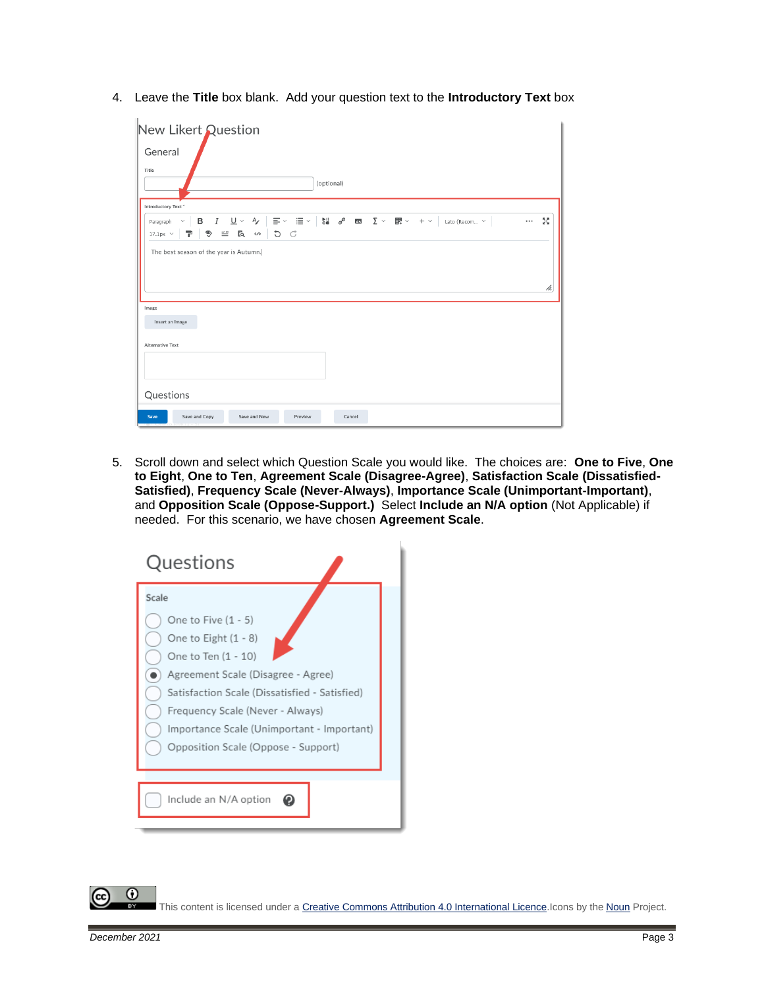4. Leave the **Title** box blank. Add your question text to the **Introductory Text** box

| New Likert Question                                                                                                                                                                                                                                                                                                                                                                                                                                                                                                                                                                                                               |    |
|-----------------------------------------------------------------------------------------------------------------------------------------------------------------------------------------------------------------------------------------------------------------------------------------------------------------------------------------------------------------------------------------------------------------------------------------------------------------------------------------------------------------------------------------------------------------------------------------------------------------------------------|----|
| General                                                                                                                                                                                                                                                                                                                                                                                                                                                                                                                                                                                                                           |    |
| Title                                                                                                                                                                                                                                                                                                                                                                                                                                                                                                                                                                                                                             |    |
| (optional)                                                                                                                                                                                                                                                                                                                                                                                                                                                                                                                                                                                                                        |    |
| Introductory Text*                                                                                                                                                                                                                                                                                                                                                                                                                                                                                                                                                                                                                |    |
| $\underline{\mathsf{U}}\,\times\,\mathsf{A}\!\!{\mathsf{V}}\,\,\Big \,\,\overline{\Xi}\,\times\,\, \,\overline{\Xi}\,\times\,\Big \,\begin{array}{cccccccccc}\mathsf{b}\,\mathsf{II} & \mathsf{d}^\mathsf{D} & \mathsf{E}\!\!\mathbf{I} & \mathsf{E}\,\mathsf{I} & \mathsf{E}\,\mathsf{V} & \mathsf{I}\!\!\mathbb{B}\,\mathsf{V} & \mathsf{H}\,\mathsf{V}\end{array}\,\Big \, \mathsf{I}_{\mathsf{atb}}\,(\mathsf{Recom}\,\ldots\,\times\,\mathsf{H})\,\Big \, \mathsf{E}_{\mathsf$<br>в<br>$\boldsymbol{I}$<br><br>$\checkmark$<br>Paragraph<br>♥<br>Eq<br>5C<br>P<br>$\stackrel{--}{=}\,$<br>$\langle \rangle$<br>$17.1px \sim$ | 통증 |
| The best season of the year is Autumn.                                                                                                                                                                                                                                                                                                                                                                                                                                                                                                                                                                                            |    |
|                                                                                                                                                                                                                                                                                                                                                                                                                                                                                                                                                                                                                                   | h. |
| Image                                                                                                                                                                                                                                                                                                                                                                                                                                                                                                                                                                                                                             |    |
| Insert an Image                                                                                                                                                                                                                                                                                                                                                                                                                                                                                                                                                                                                                   |    |
| <b>Alternative Text</b>                                                                                                                                                                                                                                                                                                                                                                                                                                                                                                                                                                                                           |    |
|                                                                                                                                                                                                                                                                                                                                                                                                                                                                                                                                                                                                                                   |    |
|                                                                                                                                                                                                                                                                                                                                                                                                                                                                                                                                                                                                                                   |    |
| Questions                                                                                                                                                                                                                                                                                                                                                                                                                                                                                                                                                                                                                         |    |
| Save and Copy<br>Save<br>Save and New<br>Preview<br>Cancel                                                                                                                                                                                                                                                                                                                                                                                                                                                                                                                                                                        |    |

5. Scroll down and select which Question Scale you would like. The choices are: **One to Five**, **One to Eight**, **One to Ten**, **Agreement Scale (Disagree-Agree)**, **Satisfaction Scale (Dissatisfied-Satisfied)**, **Frequency Scale (Never-Always)**, **Importance Scale (Unimportant-Important)**, and **Opposition Scale (Oppose-Support.)** Select **Include an N/A option** (Not Applicable) if needed. For this scenario, we have chosen **Agreement Scale**.



This content is licensed under [a Creative Commons Attribution 4.0 International Licence.I](https://creativecommons.org/licenses/by/4.0/)cons by the [Noun](https://creativecommons.org/website-icons/) Project.

0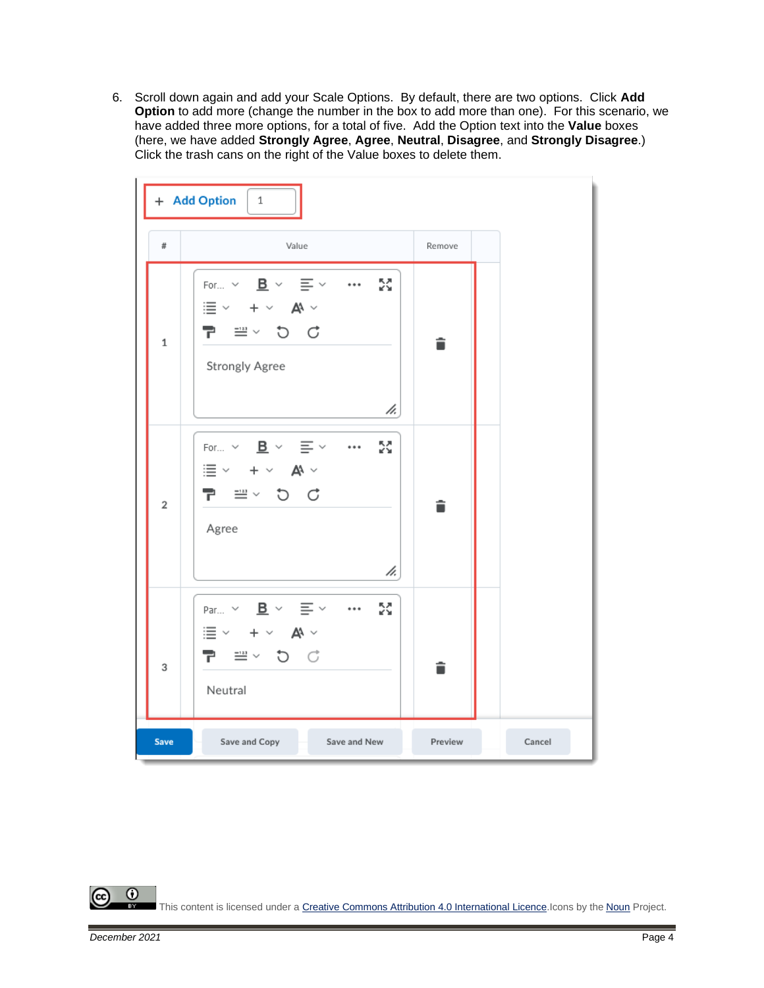6. Scroll down again and add your Scale Options. By default, there are two options. Click **Add Option** to add more (change the number in the box to add more than one). For this scenario, we have added three more options, for a total of five. Add the Option text into the **Value** boxes (here, we have added **Strongly Agree**, **Agree**, **Neutral**, **Disagree**, and **Strongly Disagree**.) Click the trash cans on the right of the Value boxes to delete them.



 $\odot$ This content is licensed under [a Creative Commons Attribution 4.0 International Licence.I](https://creativecommons.org/licenses/by/4.0/)cons by the [Noun](https://creativecommons.org/website-icons/) Project.